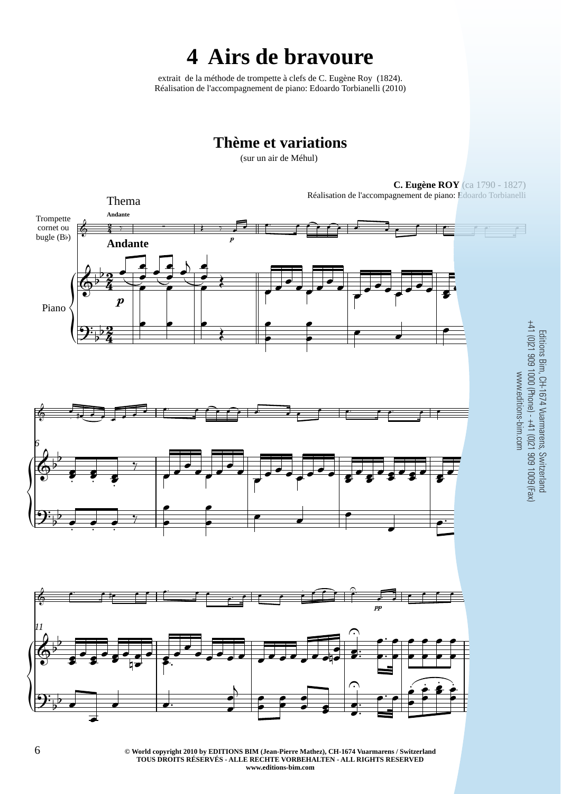# **4 Airs de bravoure**

extrait de la méthode de trompette à clefs de C. Eugène Roy (1824). Réalisation de l'accompagnement de piano: Edoardo Torbianelli (2010)

## **Thème et variations**

(sur un air de Méhul)

Thema

**C. Eugène ROY** (ca 1790 - 1827)

Réalisation de l'accompagnement de piano: Edoardo Torbianelli



**EXECUTE OF WORP CONSUMED AT A SET OF A SET OF A SET OF A SET OF A SET OF A SET OF A SET OF A SET OF A SET OF A SET OF A SET OF A SET OF A SET OF A SET OF A SET OF A SET OF A SET OF A SET OF A SET OF A SET OF A SET OF A SE TOUS DROITS RÉSERVÉS - ALLE RECHTE VORBEHALTEN - ALL RIGHTS RESERVED www.editions-bim.com**

Editions Bim, CH-1674 Vuarmarens, Switzerland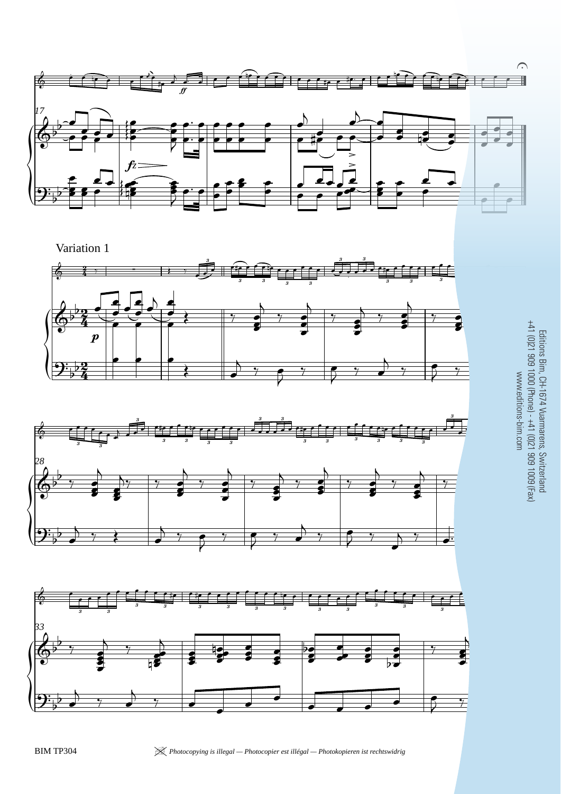

 $\left\{ \begin{matrix} 1 \\ 1 \\ 2 \end{matrix} \right\}$  $\boldsymbol{p}$ 2  $\frac{2}{4}$ <u>2</u>  $\frac{2}{4}$ <u>2</u>  $\frac{2}{4}$  $\begin{array}{cc} \leftarrow & \frac{2}{4} \end{array}$  ; : 3  $\begin{array}{ccc} 3 & 3 & \overline{3} \\ 3 & 3 \end{array}$ 3 3  $\overline{3}$   $\overline{3}$   $\overline{3}$   $\overline{3}$ Variation 1  $\overline{\mathbb{Q}^{\flat}}$  $\frac{1}{2}$  $\mathbf{\mathcal{P}}$  ,  $\frac{1}{2}$  $\frac{1}{2}$  ,  $\frac{1}{2}$  ,  $\frac{1}{2}$  ,  $\frac{1}{2}$  ,  $\frac{1}{2}$  ,  $\frac{1}{2}$  ,  $\frac{1}{2}$  ,  $\frac{1}{2}$  ,  $\frac{1}{2}$  $\frac{1}{\epsilon}$  $\frac{1}{\sqrt{2}}$ -<br>- $\frac{1}{\epsilon}$  $\frac{1}{\sqrt{2}}$  $\overline{\bullet}$  $\frac{1}{\sqrt{2}}$  $\overline{b}$  $\frac{1}{\epsilon}$  $\bullet$  $\begin{array}{c} \bullet \end{array}$  $\ddot{\bm{s}}$  $\bullet$  $\overline{\bullet}$  $\overline{A}$  $\frac{1}{7}$  $\bullet$  $\bullet$  $\frac{1}{2}$  $\overline{A}$  $\frac{1}{\gamma}$ Į  $\overline{\bullet}$  $\overline{\bullet}$  $\frac{1}{7}$  $\ddot{\bm{s}}$  $\bullet$  $\frac{1}{2}$  $\overline{A}$  $\frac{1}{\gamma}$  $\ddot{\bm{s}}$  $\bullet$  $\overline{\phantom{a}}$  $\bullet$   $\bullet$   $\bullet$  $\left\vert \cdot\right\vert$  $\rightarrow$  $\begin{array}{c} \bullet \end{array}$  $\begin{array}{cc} \circ & \circ \\ \circ & \circ \end{array}$  $\rightarrow$  $\frac{2}{7}$ 





- 3<br>- 3 Editions Bim, CH-1674 Vuarmarens, Switzerland +41 (0)21 909 1000 (Phone) - +41 (0)21 909 1009 (Fax) www.editions-bim.com

BIM TP304 <sup>|</sup> *Photocopying is illegal — Photocopier est illégal — Photokopieren ist rechtswidrig* 7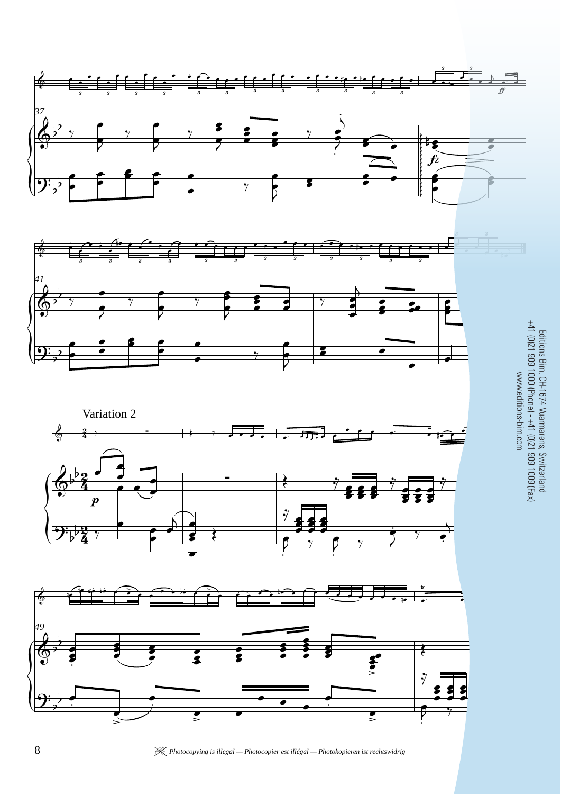

8 **8** *Photocopying is illegal — Photocopier est illégal — Photokopieren ist rechtswidrig* BIM TP3044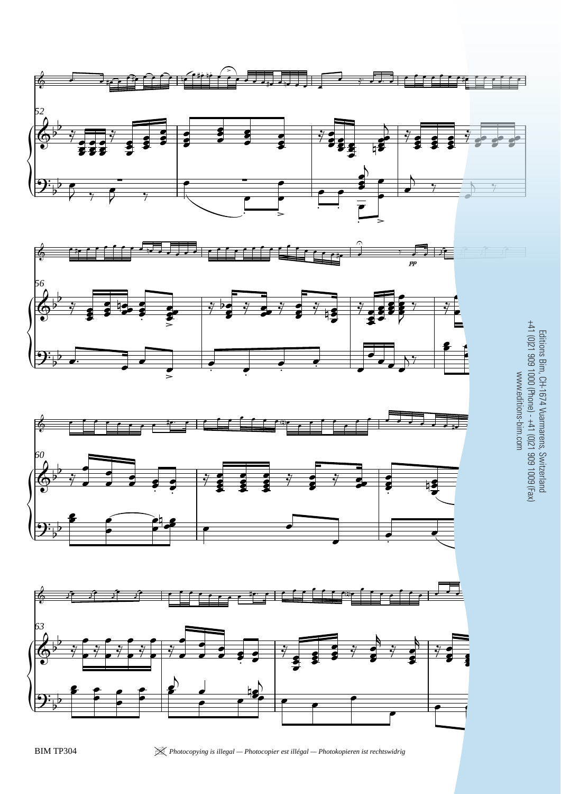







BIM TP304 <sup>|</sup> *Photocopying is illegal — Photocopier est illégal — Photokopieren ist rechtswidrig* 9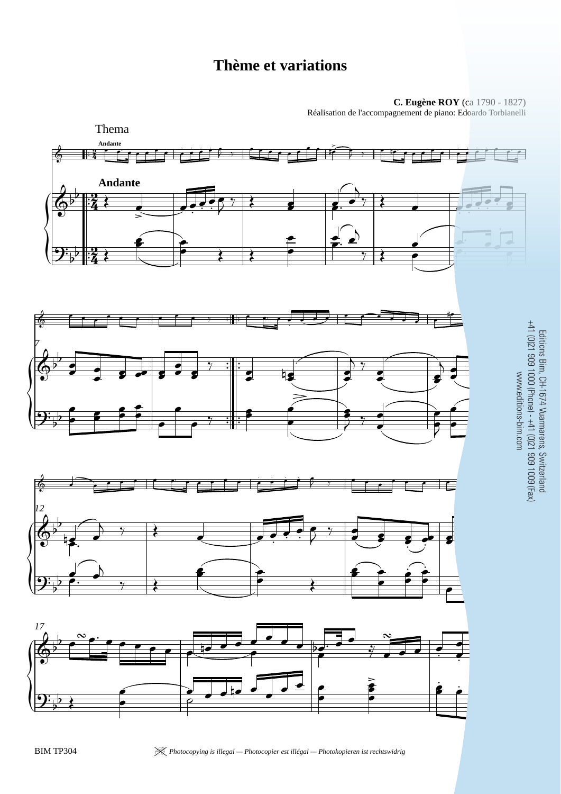# **Thème et variations**

**C. Eugène ROY** (ca 1790 - 1827) Réalisation de l'accompagnement de piano: Edoardo Torbianelli

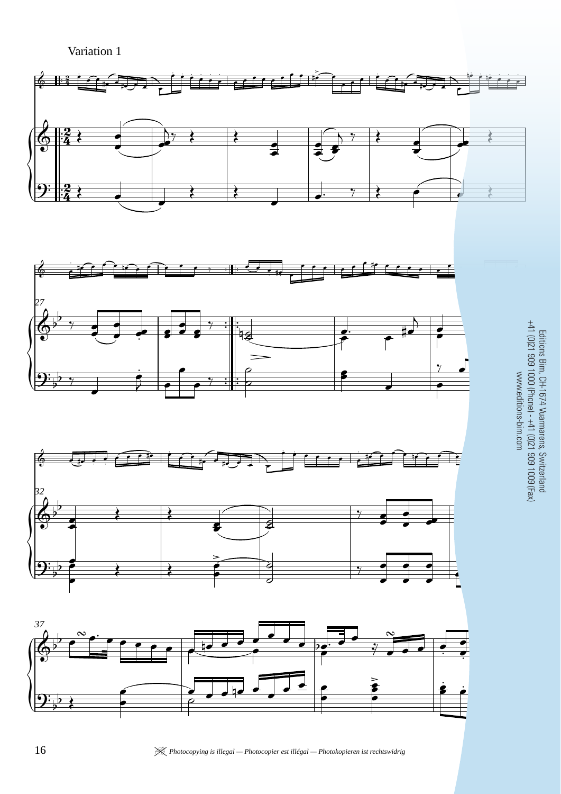Variation 1







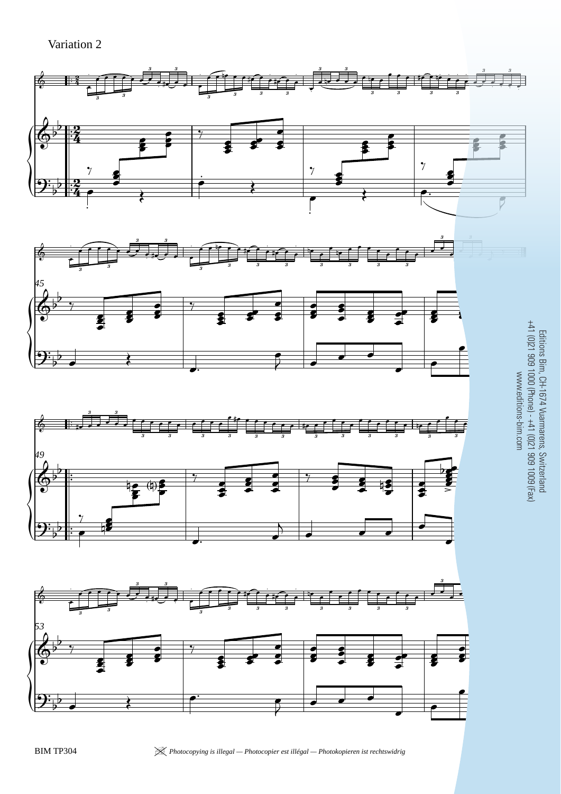Variation 2







Editions Bim, CH-1674 Vuarmarens, Switzerland +41 (0)21 909 1000 (Phone) - +41 (0)21 909 1009 (Fax) www.editions-bim.com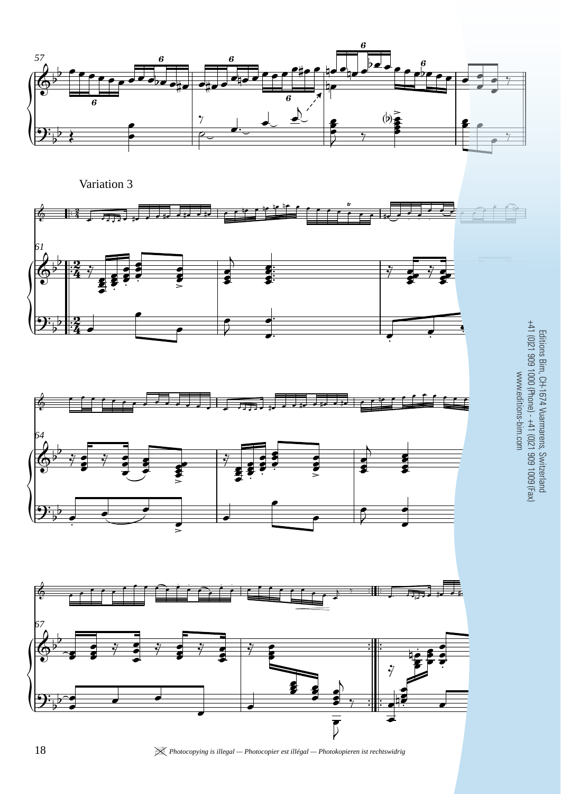







18 *<u>X</u> Photocopying is illegal — Photocopier est illégal — Photokopieren ist rechtswidrig*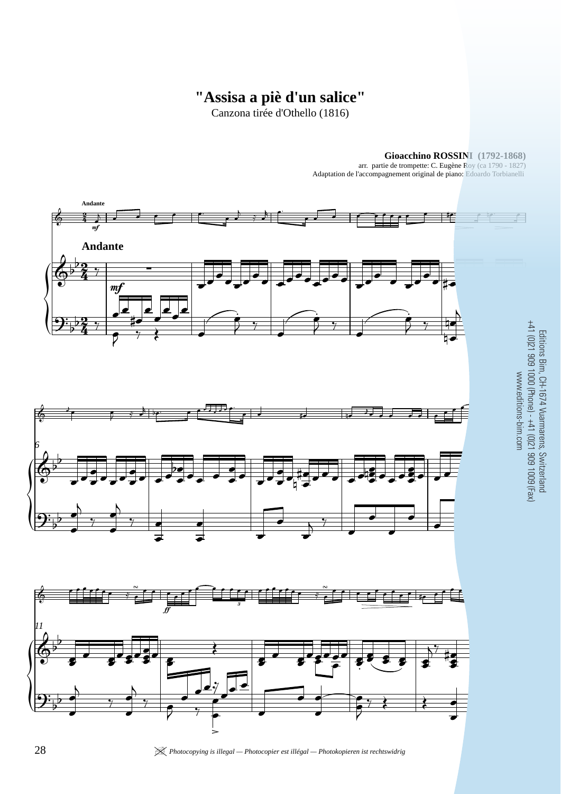### **"Assisa a piè d'un salice"**

Canzona tirée d'Othello (1816)



**Gioacchino ROSSINI (1792-1868)** arr. partie de trompette: C. Eugène Roy (ca 1790 - 1827)

Editions Bim, CH-1674 Vuarmarens, Switzerland

Adaptation de l'accompagnement original de piano: Edoardo Torbianelli

28 *28 Photocopying is illegal — Photocopier est illégal — Photokopieren ist rechtswidrig*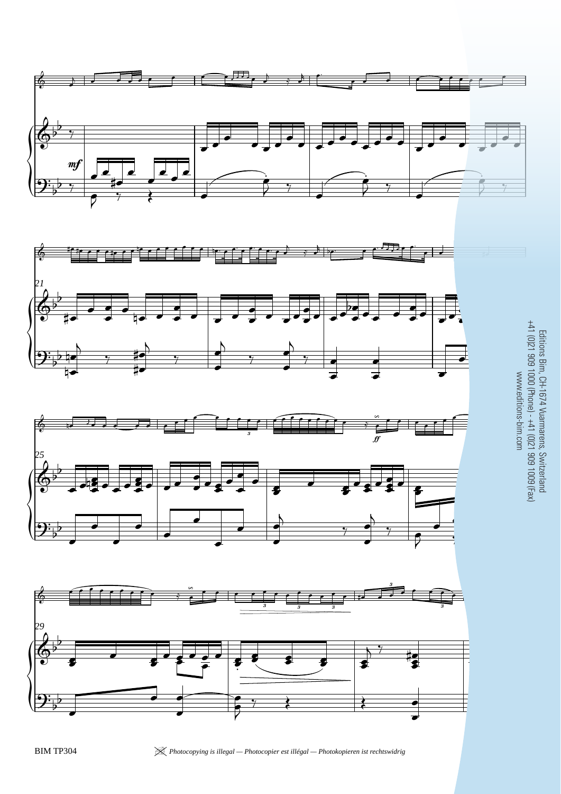







 $\sim$ Editions Bim, CH-1674 Vuarmarens, Switzerland +41 (0)21 909 1000 (Phone) - +41 (0)21 909 1009 (Fax) www.editions-bim.com

BIM TP304 <sup>|</sup> *Photocopying is illegal — Photocopier est illégal — Photokopieren ist rechtswidrig* 29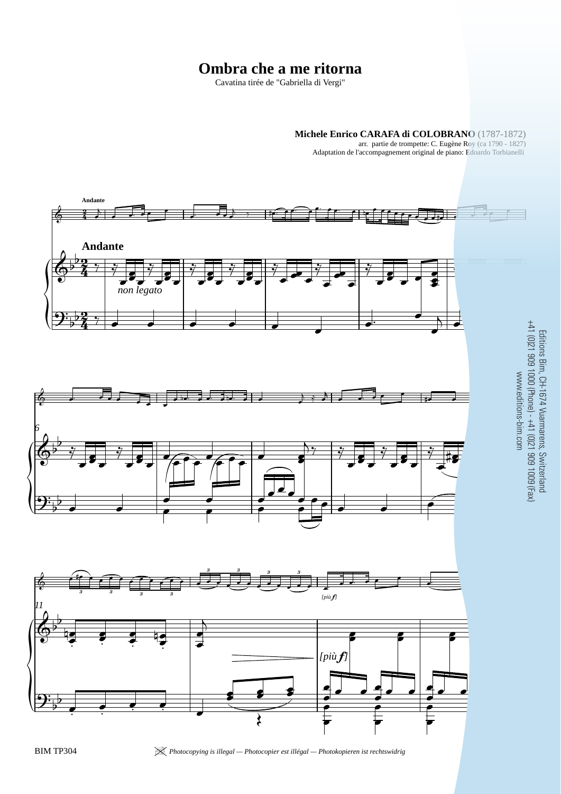#### **Ombra che a me ritorna**

Cavatina tirée de "Gabriella di Vergi"

#### **Michele Enrico CARAFA di COLOBRANO** (1787-1872)

arr. partie de trompette: C. Eugène Roy (ca 1790 - 1827) Adaptation de l'accompagnement original de piano: Edoardo Torbianelli



BIM TP304 <sup>|</sup> *Photocopying is illegal — Photocopier est illégal — Photokopieren ist rechtswidrig* 31